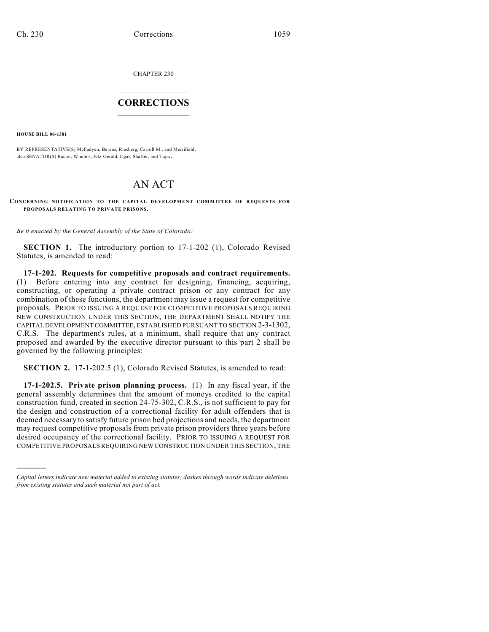CHAPTER 230

## $\overline{\phantom{a}}$  . The set of the set of the set of the set of the set of the set of the set of the set of the set of the set of the set of the set of the set of the set of the set of the set of the set of the set of the set o **CORRECTIONS**  $\frac{1}{2}$  ,  $\frac{1}{2}$  ,  $\frac{1}{2}$  ,  $\frac{1}{2}$  ,  $\frac{1}{2}$  ,  $\frac{1}{2}$

**HOUSE BILL 06-1381**

)))))

BY REPRESENTATIVE(S) McFadyen, Berens, Riesberg, Carroll M., and Merrifield; also SENATOR(S) Bacon, Windels, Fitz-Gerald, Isgar, Shaffer, and Tupa.

## AN ACT

## **CONCERNING NOTIFICATION TO THE CAPITAL DEVELOPMENT COMMITTEE OF REQUESTS FOR PROPOSALS RELATING TO PRIVATE PRISONS.**

*Be it enacted by the General Assembly of the State of Colorado:*

**SECTION 1.** The introductory portion to 17-1-202 (1), Colorado Revised Statutes, is amended to read:

**17-1-202. Requests for competitive proposals and contract requirements.** (1) Before entering into any contract for designing, financing, acquiring, constructing, or operating a private contract prison or any contract for any combination of these functions, the department may issue a request for competitive proposals. PRIOR TO ISSUING A REQUEST FOR COMPETITIVE PROPOSALS REQUIRING NEW CONSTRUCTION UNDER THIS SECTION, THE DEPARTMENT SHALL NOTIFY THE CAPITAL DEVELOPMENT COMMITTEE, ESTABLISHED PURSUANT TO SECTION 2-3-1302, C.R.S. The department's rules, at a minimum, shall require that any contract proposed and awarded by the executive director pursuant to this part 2 shall be governed by the following principles:

**SECTION 2.** 17-1-202.5 (1), Colorado Revised Statutes, is amended to read:

**17-1-202.5. Private prison planning process.** (1) In any fiscal year, if the general assembly determines that the amount of moneys credited to the capital construction fund, created in section 24-75-302, C.R.S., is not sufficient to pay for the design and construction of a correctional facility for adult offenders that is deemed necessary to satisfy future prison bed projections and needs, the department may request competitive proposals from private prison providers three years before desired occupancy of the correctional facility. PRIOR TO ISSUING A REQUEST FOR COMPETITIVE PROPOSALS REQUIRING NEW CONSTRUCTION UNDER THIS SECTION, THE

*Capital letters indicate new material added to existing statutes; dashes through words indicate deletions from existing statutes and such material not part of act.*